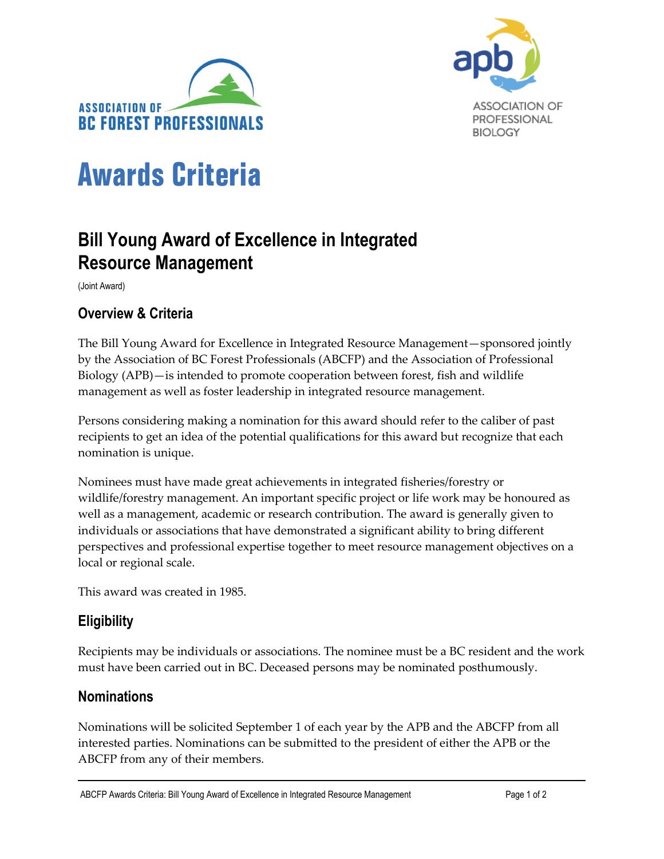



# Awards Criteria

## **Bill Young Award of Excellence in Integrated Resource Management**

(Joint Award)

## **Overview & Criteria**

The Bill Young Award for Excellence in Integrated Resource Management—sponsored jointly by the Association of BC Forest Professionals (ABCFP) and the Association of Professional Biology (APB)—is intended to promote cooperation between forest, fish and wildlife management as well as foster leadership in integrated resource management.

Persons considering making a nomination for this award should refer to the caliber of past recipients to get an idea of the potential qualifications for this award but recognize that each nomination is unique.

Nominees must have made great achievements in integrated fisheries/forestry or wildlife/forestry management. An important specific project or life work may be honoured as well as a management, academic or research contribution. The award is generally given to individuals or associations that have demonstrated a significant ability to bring different perspectives and professional expertise together to meet resource management objectives on a local or regional scale.

This award was created in 1985.

## **Eligibility**

Recipients may be individuals or associations. The nominee must be a BC resident and the work must have been carried out in BC. Deceased persons may be nominated posthumously.

## **Nominations**

Nominations will be solicited September 1 of each year by the APB and the ABCFP from all interested parties. Nominations can be submitted to the president of either the APB or the ABCFP from any of their members.